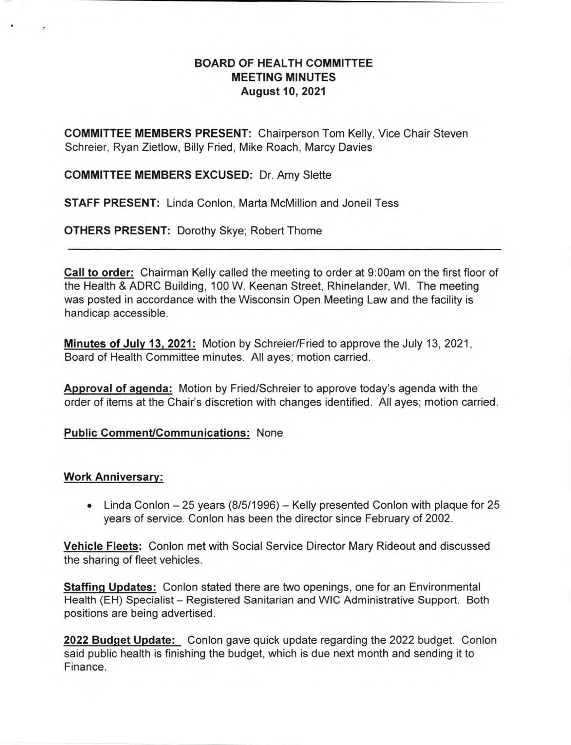## **BOARD OF HEALTH COMMITTEE MEETING MINUTES August 10, 2021**

**COMMITTEE MEMBERS PRESENT:** Chairperson Tom Kelly, Vice Chair Steven Schreier, Ryan Zietlow, Billy Fried, Mike Roach, Marcy Davies

### **COMMITTEE MEMBERS EXCUSED:** Dr. Amy Slette

**STAFF PRESENT:** Linda Conlon, Marta McMillion and Joneil Tess

**OTHERS PRESENT:** Dorothy Skye; Robert Thome

**Call to order:** Chairman Kelly called the meeting to order at 9:00am on the first floor of the Health & ADRC Building, 100 W. Keenan Street, Rhinelander, WI. The meeting was posted in accordance with the Wisconsin Open Meeting Law and the facility is handicap accessible.

**Minutes of July 13, 2021:** Motion by Schreier/Fried to approve the July 13, 2021, Board of Health Committee minutes. All ayes; motion carried.

**Approval of agenda:** Motion by Fried/Schreier to approve today's agenda with the order of items at the Chair's discretion with changes identified. All ayes; motion carried.

### **Public Comment/Communications:** None

### **Work Anniversary:**

• Linda Conlon — 25 years (8/5/1996) — Kelly presented Conlon with plaque for 25 years of service. Conlon has been the director since February of 2002.

**Vehicle Fleets:** Conlon met with Social Service Director Mary Rideout and discussed the sharing of fleet vehicles.

**Staffing Updates:** Conlon stated there are two openings, one for an Environmental Health (EH) Specialist — Registered Sanitarian and WIC Administrative Support. Both positions are being advertised.

2022 Budget Update: Conlon gave quick update regarding the 2022 budget. Conlon said public health is finishing the budget, which is due next month and sending it to Finance.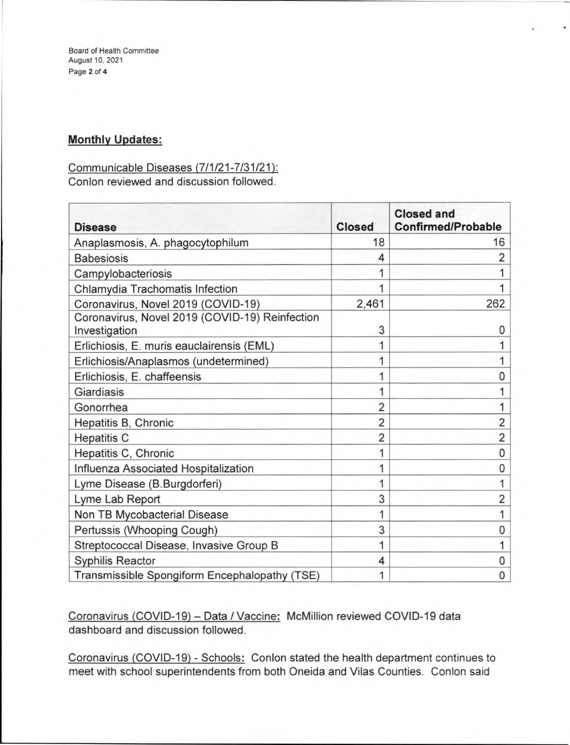Board of Health Committee August 10, 2021 Page **2** of **4** 

# **Monthly Updates:**

## Communicable Diseases (7/1/21-7/31/21):

Conlon reviewed and discussion followed.

| <b>Disease</b>                                                  | <b>Closed</b>  | <b>Closed and</b><br><b>Confirmed/Probable</b> |
|-----------------------------------------------------------------|----------------|------------------------------------------------|
| Anaplasmosis, A. phagocytophilum                                | 18             | 16                                             |
| <b>Babesiosis</b>                                               | 4              | 2                                              |
| Campylobacteriosis                                              |                |                                                |
| Chlamydia Trachomatis Infection                                 | 1              |                                                |
| Coronavirus, Novel 2019 (COVID-19)                              | 2,461          | 262                                            |
| Coronavirus, Novel 2019 (COVID-19) Reinfection<br>Investigation | 3              | 0                                              |
| Erlichiosis, E. muris eauclairensis (EML)                       | 1              |                                                |
| Erlichiosis/Anaplasmos (undetermined)                           | 1              |                                                |
| Erlichiosis, E. chaffeensis                                     | 1              | 0                                              |
| Giardiasis                                                      | 1              |                                                |
| Gonorrhea                                                       | 2              |                                                |
| Hepatitis B, Chronic                                            | $\overline{2}$ | $\overline{2}$                                 |
| <b>Hepatitis C</b>                                              | 2              | $\overline{2}$                                 |
| Hepatitis C, Chronic                                            | 1              | $\mathbf{0}$                                   |
| Influenza Associated Hospitalization                            | 1              | $\mathbf{0}$                                   |
| Lyme Disease (B.Burgdorferi)                                    | 1              |                                                |
| Lyme Lab Report                                                 | 3              | 2                                              |
| Non TB Mycobacterial Disease                                    | 1              |                                                |
| Pertussis (Whooping Cough)                                      | 3              | 0                                              |
| Streptococcal Disease, Invasive Group B                         | 1              |                                                |
| Syphilis Reactor                                                | 4              | 0                                              |
| Transmissible Spongiform Encephalopathy (TSE)                   | 1              | 0                                              |

Coronavirus (COVID-19) — Data / Vaccine: McMillion reviewed COVID-19 data dashboard and discussion followed.

Coronavirus (COVID-19) - Schools: Conlon stated the health department continues to meet with school superintendents from both Oneida and Vilas Counties. Conlon said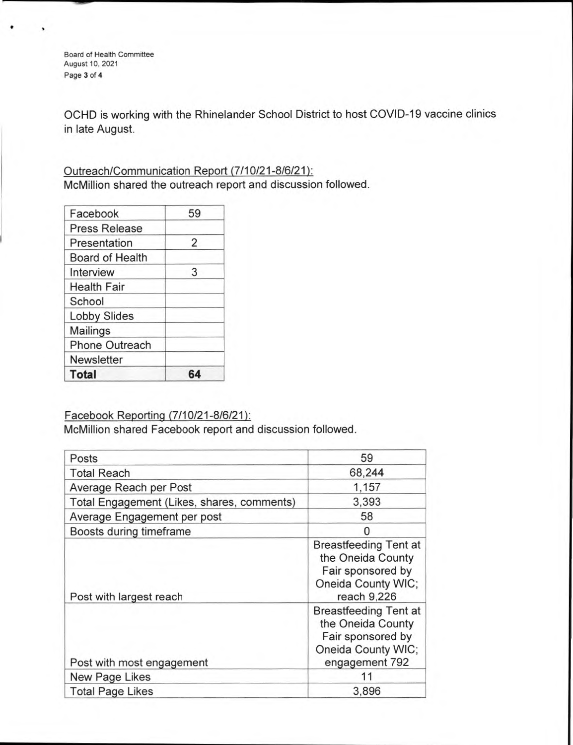Board of Health Committee August 10, 2021 Page 3 of **4** 

OCHD is working with the Rhinelander School District to host COVID-19 vaccine clinics in late August.

## Outreach/Communication Report (7/10/21-8/6/21): McMillion shared the outreach report and discussion followed.

| Facebook               | 59 |
|------------------------|----|
| <b>Press Release</b>   |    |
| Presentation           | 2  |
| <b>Board of Health</b> |    |
| Interview              | 3  |
| <b>Health Fair</b>     |    |
| School                 |    |
| <b>Lobby Slides</b>    |    |
| Mailings               |    |
| <b>Phone Outreach</b>  |    |
| <b>Newsletter</b>      |    |
| <b>Total</b>           |    |

### Facebook Reporting (7/10/21-8/6/21):

McMillion shared Facebook report and discussion followed.

| Posts                                      | 59                                                                                                             |
|--------------------------------------------|----------------------------------------------------------------------------------------------------------------|
| <b>Total Reach</b>                         | 68,244                                                                                                         |
| Average Reach per Post                     | 1,157                                                                                                          |
| Total Engagement (Likes, shares, comments) | 3,393                                                                                                          |
| Average Engagement per post                | 58                                                                                                             |
| Boosts during timeframe                    | 0                                                                                                              |
| Post with largest reach                    | <b>Breastfeeding Tent at</b><br>the Oneida County<br>Fair sponsored by<br>Oneida County WIC;<br>reach 9,226    |
| Post with most engagement                  | <b>Breastfeeding Tent at</b><br>the Oneida County<br>Fair sponsored by<br>Oneida County WIC;<br>engagement 792 |
| New Page Likes                             | 11                                                                                                             |
| <b>Total Page Likes</b>                    | 3,896                                                                                                          |